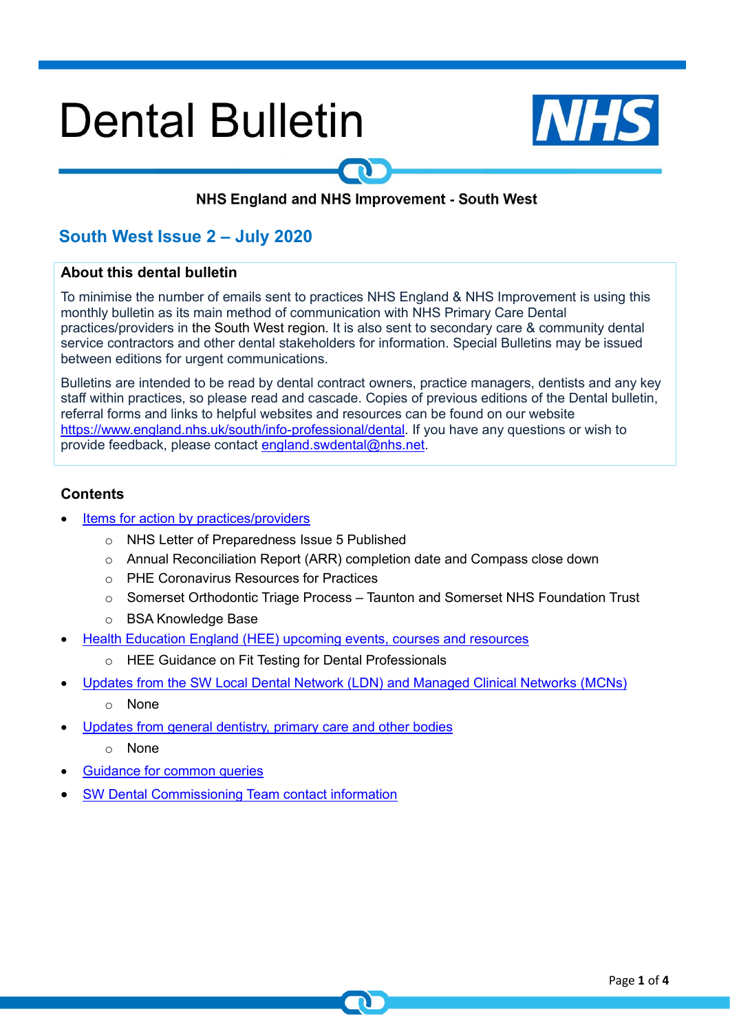# **Dental Bulletin**



## NHS England and NHS Improvement - South West

## **South West Issue 2 – July 2020**

#### **About this dental bulletin**

To minimise the number of emails sent to practices NHS England & NHS Improvement is using this monthly bulletin as its main method of communication with NHS Primary Care Dental practices/providers in the South West region. It is also sent to secondary care & community dental service contractors and other dental stakeholders for information. Special Bulletins may be issued between editions for urgent communications.

Bulletins are intended to be read by dental contract owners, practice managers, dentists and any key staff within practices, so please read and cascade. Copies of previous editions of the Dental bulletin, referral forms and links to helpful websites and resources can be found on our website [https://www.england.nhs.uk/south/info-professional/dental.](https://www.england.nhs.uk/south/info-professional/dental) If you have any questions or wish to provide feedback, please contact [england.swdental@nhs.net.](mailto:england.swdental@nhs.net)

## <span id="page-0-0"></span>**Contents**

- Items for [action by practices/providers](#page-1-0)
	- o NHS Letter of Preparedness Issue 5 Published
	- o Annual Reconciliation Report (ARR) completion date and Compass close down
	- o PHE Coronavirus Resources for Practices
	- o Somerset Orthodontic Triage Process Taunton and Somerset NHS Foundation Trust
	- o BSA Knowledge Base
- Health Education England (HEE) upcoming events, courses and resources
	- o HEE Guidance on Fit Testing for Dental Professionals
- [Updates from the SW Local Dental Network \(LDN\) and Managed Clinical Networks \(MCNs\)](#page-2-0)
	- o None
- Updates from general dentistry, primary care and other bodies
	- o None
- [Guidance for common queries](#page-3-0)
- SW Dental Commissioning Team contact information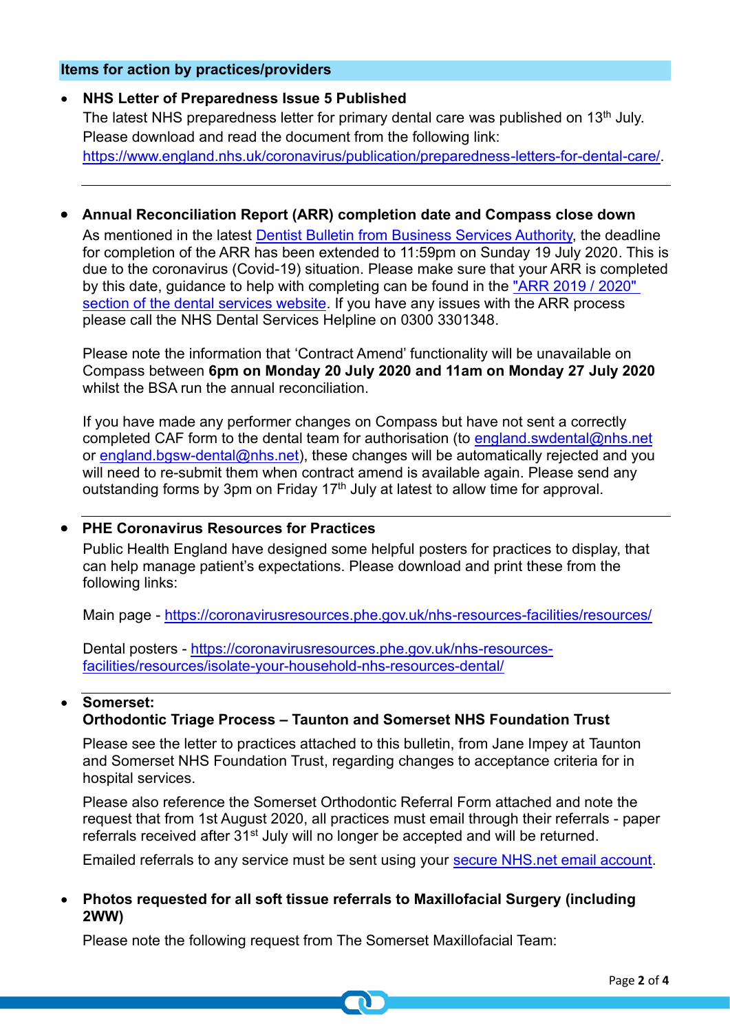## <span id="page-1-0"></span>**Items for action by practices/providers**

## • **NHS Letter of Preparedness Issue 5 Published**

The latest NHS preparedness letter for primary dental care was published on 13<sup>th</sup> July. Please download and read the document from the following link: https://www.england.nhs.uk/coronavirus/publication/preparedness-letters-for-dental-care/

## • **Annual Reconciliation Report (ARR) completion date and Compass close down**

As mentioned in the latest [Dentist Bulletin from Business Services Authority,](https://www.nhsbsa.nhs.uk/sites/default/files/2020-07/Dentist_Bulletin_-_England_-_July_2020.pdf) the deadline for completion of the ARR has been extended to 11:59pm on Sunday 19 July 2020. This is due to the coronavirus (Covid-19) situation. Please make sure that your ARR is completed by this date, guidance to help with completing can be found in the ["ARR 2019 / 2020"](https://www.nhsbsa.nhs.uk/activity-payment-and-pension-services/provider-and-performer-pensions/annual-reconciliation-report-process-arr)  [section of the dental services website.](https://www.nhsbsa.nhs.uk/activity-payment-and-pension-services/provider-and-performer-pensions/annual-reconciliation-report-process-arr) If you have any issues with the ARR process please call the NHS Dental Services Helpline on 0300 3301348.

Please note the information that 'Contract Amend' functionality will be unavailable on Compass between **6pm on Monday 20 July 2020 and 11am on Monday 27 July 2020** whilst the BSA run the annual reconciliation.

If you have made any performer changes on Compass but have not sent a correctly completed CAF form to the dental team for authorisation (to [england.swdental@nhs.net](mailto:england.swdental@nhs.net) or [england.bgsw-dental@nhs.net\)](mailto:england.bgsw-dental@nhs.net), these changes will be automatically rejected and you will need to re-submit them when contract amend is available again. Please send any outstanding forms by 3pm on Friday 17<sup>th</sup> July at latest to allow time for approval.

## • **PHE Coronavirus Resources for Practices**

Public Health England have designed some helpful posters for practices to display, that can help manage patient's expectations. Please download and print these from the following links:

Main page - <https://coronavirusresources.phe.gov.uk/nhs-resources-facilities/resources/>

Dental posters - [https://coronavirusresources.phe.gov.uk/nhs-resources](https://coronavirusresources.phe.gov.uk/nhs-resources-facilities/resources/isolate-your-household-nhs-resources-dental/)[facilities/resources/isolate-your-household-nhs-resources-dental/](https://coronavirusresources.phe.gov.uk/nhs-resources-facilities/resources/isolate-your-household-nhs-resources-dental/)

#### • **Somerset: Orthodontic Triage Process – Taunton and Somerset NHS Foundation Trust**

Please see the letter to practices attached to this bulletin, from Jane Impey at Taunton and Somerset NHS Foundation Trust, regarding changes to acceptance criteria for in hospital services.

Please also reference the Somerset Orthodontic Referral Form attached and note the request that from 1st August 2020, all practices must email through their referrals - paper referrals received after 31<sup>st</sup> July will no longer be accepted and will be returned.

Emailed referrals to any service must be sent using your secure NHS net email account.

## • **Photos requested for all soft tissue referrals to Maxillofacial Surgery (including 2WW)**

Please note the following request from The Somerset Maxillofacial Team: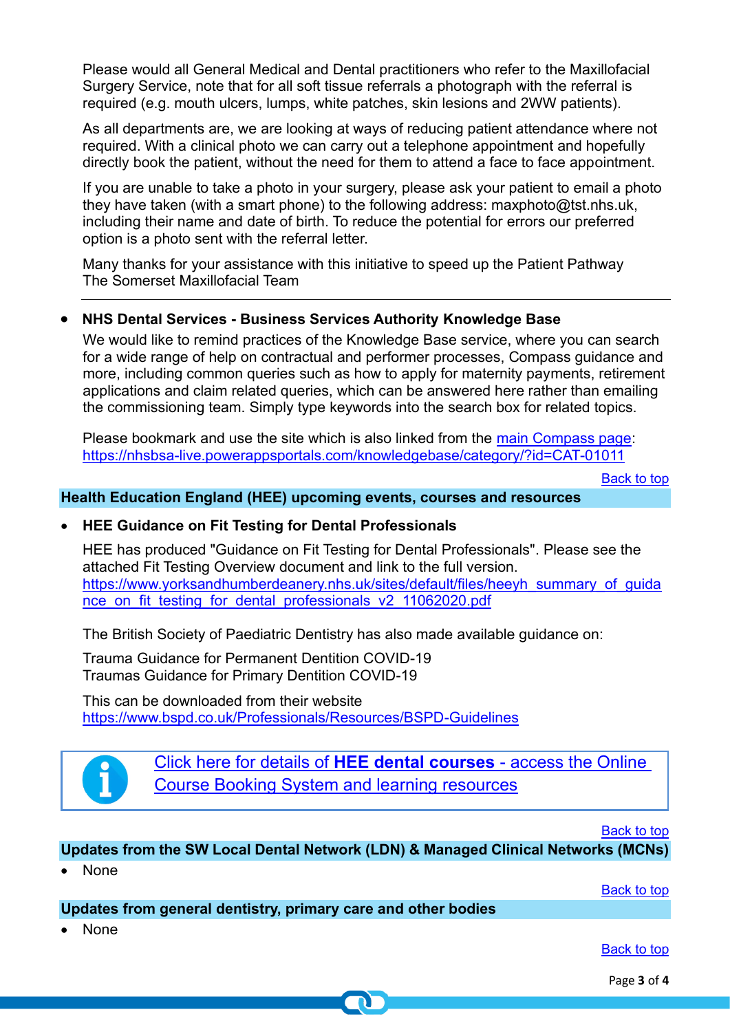Please would all General Medical and Dental practitioners who refer to the Maxillofacial Surgery Service, note that for all soft tissue referrals a photograph with the referral is required (e.g. mouth ulcers, lumps, white patches, skin lesions and 2WW patients).

As all departments are, we are looking at ways of reducing patient attendance where not required. With a clinical photo we can carry out a telephone appointment and hopefully directly book the patient, without the need for them to attend a face to face appointment.

If you are unable to take a photo in your surgery, please ask your patient to email a photo they have taken (with a smart phone) to the following address: maxphoto@tst.nhs.uk, including their name and date of birth. To reduce the potential for errors our preferred option is a photo sent with the referral letter.

Many thanks for your assistance with this initiative to speed up the Patient Pathway The Somerset Maxillofacial Team

## • **NHS Dental Services - Business Services Authority Knowledge Base**

We would like to remind practices of the Knowledge Base service, where you can search for a wide range of help on contractual and performer processes, Compass guidance and more, including common queries such as how to apply for maternity payments, retirement applications and claim related queries, which can be answered here rather than emailing the commissioning team. Simply type keywords into the search box for related topics.

Please bookmark and use the site which is also linked from the [main Compass page:](https://www.nhsbsa.nhs.uk/compass) <https://nhsbsa-live.powerappsportals.com/knowledgebase/category/?id=CAT-01011>

[Back to top](#page-0-0)

## **Health Education England (HEE) upcoming events, courses and resources**

#### • **HEE Guidance on Fit Testing for Dental Professionals**

HEE has produced "Guidance on Fit Testing for Dental Professionals". Please see the attached Fit Testing Overview document and link to the full version. [https://www.yorksandhumberdeanery.nhs.uk/sites/default/files/heeyh\\_summary\\_of\\_guida](https://www.yorksandhumberdeanery.nhs.uk/sites/default/files/heeyh_summary_of_guidance_on_fit_testing_for_dental_professionals_v2_11062020.pdf) [nce\\_on\\_fit\\_testing\\_for\\_dental\\_professionals\\_v2\\_11062020.pdf](https://www.yorksandhumberdeanery.nhs.uk/sites/default/files/heeyh_summary_of_guidance_on_fit_testing_for_dental_professionals_v2_11062020.pdf)

The British Society of Paediatric Dentistry has also made available guidance on:

Trauma Guidance for Permanent Dentition COVID-19 Traumas Guidance for Primary Dentition COVID-19

This can be downloaded from their website <https://www.bspd.co.uk/Professionals/Resources/BSPD-Guidelines>



[Click here for details of](http://www.dental.southwest.hee.nhs.uk/about-us/dental-courses/) **HEE dental courses** - access the Online [Course Booking System and learning resources](http://www.dental.southwest.hee.nhs.uk/about-us/dental-courses/)

[Back to top](#page-0-0)

## <span id="page-2-0"></span>**Updates from the SW Local Dental Network (LDN) & Managed Clinical Networks (MCNs)**

• None

[Back to top](#page-0-0)

## **Updates from general dentistry, primary care and other bodies**

• None

[Back to top](#page-0-0)

Page **3** of **4**